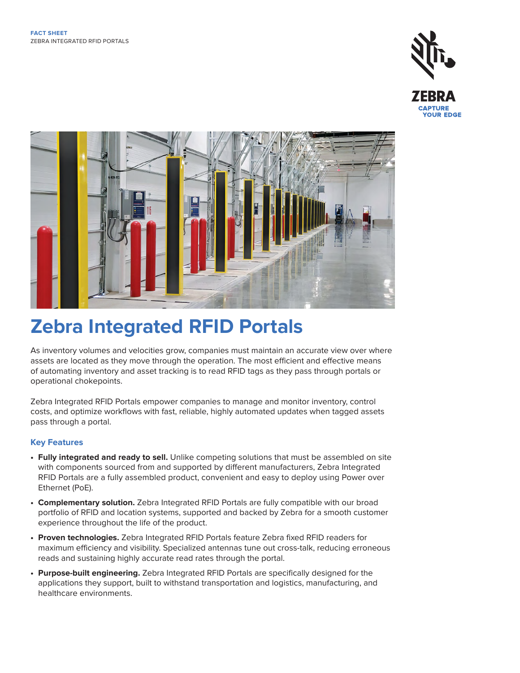



# **Zebra Integrated RFID Portals**

As inventory volumes and velocities grow, companies must maintain an accurate view over where assets are located as they move through the operation. The most efficient and effective means of automating inventory and asset tracking is to read RFID tags as they pass through portals or operational chokepoints.

Zebra Integrated RFID Portals empower companies to manage and monitor inventory, control costs, and optimize workflows with fast, reliable, highly automated updates when tagged assets pass through a portal.

#### **Key Features**

- **Fully integrated and ready to sell.** Unlike competing solutions that must be assembled on site with components sourced from and supported by different manufacturers, Zebra Integrated RFID Portals are a fully assembled product, convenient and easy to deploy using Power over Ethernet (PoE).
- **Complementary solution.** Zebra Integrated RFID Portals are fully compatible with our broad portfolio of RFID and location systems, supported and backed by Zebra for a smooth customer experience throughout the life of the product.
- **Proven technologies.** Zebra Integrated RFID Portals feature Zebra fixed RFID readers for maximum efficiency and visibility. Specialized antennas tune out cross-talk, reducing erroneous reads and sustaining highly accurate read rates through the portal.
- **Purpose-built engineering.** Zebra Integrated RFID Portals are specifically designed for the applications they support, built to withstand transportation and logistics, manufacturing, and healthcare environments.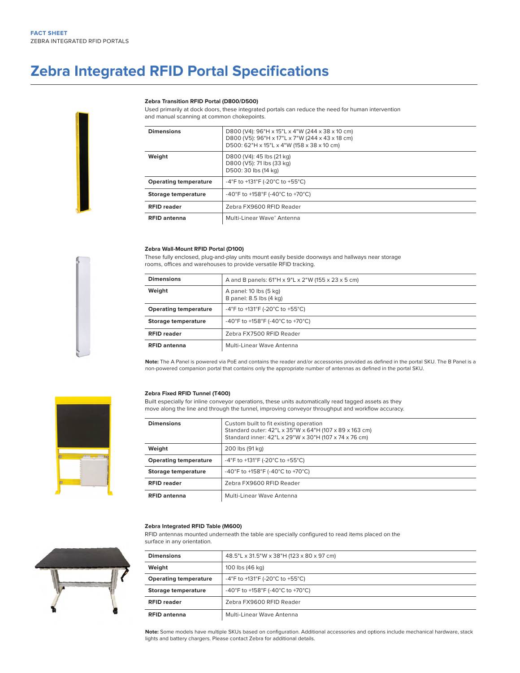### **Zebra Integrated RFID Portal Specifications**

#### **Zebra Transition RFID Portal (D800/D500)**

Used primarily at dock doors, these integrated portals can reduce the need for human intervention and manual scanning at common chokepoints.

| <b>Dimensions</b>            | D800 (V4): 96"H x 15"L x 4"W (244 x 38 x 10 cm)<br>D800 (V5): 96"H x 17"L x 7"W (244 x 43 x 18 cm)<br>D500: 62"H x 15"L x 4"W (158 x 38 x 10 cm) |
|------------------------------|--------------------------------------------------------------------------------------------------------------------------------------------------|
| Weight                       | D800 (V4): 45 lbs (21 kg)<br>D800 (V5): 71 lbs (33 kg)<br>D500: 30 lbs (14 kg)                                                                   |
| <b>Operating temperature</b> | -4°F to +131°F (-20°C to +55°C)                                                                                                                  |
| Storage temperature          | -40°F to +158°F (-40°C to +70°C)                                                                                                                 |
| <b>RFID reader</b>           | Zebra FX9600 RFID Reader                                                                                                                         |
| <b>RFID antenna</b>          | Multi-Linear Wave® Antenna                                                                                                                       |

#### **Zebra Wall-Mount RFID Portal (D100)**

These fully enclosed, plug-and-play units mount easily beside doorways and hallways near storage rooms, offices and warehouses to provide versatile RFID tracking.

| <b>Dimensions</b>            | A and B panels: 61"H x 9"L x 2"W (155 x 23 x 5 cm) |
|------------------------------|----------------------------------------------------|
| Weight                       | A panel: 10 lbs (5 kg)<br>B panel: 8.5 lbs (4 kg)  |
| <b>Operating temperature</b> | -4°F to +131°F (-20°C to +55°C)                    |
| Storage temperature          | -40°F to +158°F (-40°C to +70°C)                   |
| <b>RFID reader</b>           | Zebra FX7500 RFID Reader                           |
| <b>RFID antenna</b>          | Multi-Linear Wave Antenna                          |

**Note:** The A Panel is powered via PoE and contains the reader and/or accessories provided as defined in the portal SKU. The B Panel is a non-powered companion portal that contains only the appropriate number of antennas as defined in the portal SKU.

#### **Zebra Fixed RFID Tunnel (T400)**

Built especially for inline conveyor operations, these units automatically read tagged assets as they move along the line and through the tunnel, improving conveyor throughput and workflow accuracy.

| <b>Dimensions</b>            | Custom built to fit existing operation<br>Standard outer: 42"L x 35"W x 64"H (107 x 89 x 163 cm)<br>Standard inner: 42"L x 29"W x 30"H (107 x 74 x 76 cm) |
|------------------------------|-----------------------------------------------------------------------------------------------------------------------------------------------------------|
| Weight                       | 200 lbs (91 kg)                                                                                                                                           |
| <b>Operating temperature</b> | -4°F to +131°F (-20°C to +55°C)                                                                                                                           |
| Storage temperature          | -40°F to +158°F (-40°C to +70°C)                                                                                                                          |
| <b>RFID reader</b>           | Zebra FX9600 RFID Reader                                                                                                                                  |
| <b>RFID antenna</b>          | Multi-Linear Wave Antenna                                                                                                                                 |

#### **Zebra Integrated RFID Table (M600)**

RFID antennas mounted underneath the table are specially configured to read items placed on the surface in any orientation.

| <b>Dimensions</b>            | 48.5"L x 31.5"W x 38"H (123 x 80 x 97 cm) |
|------------------------------|-------------------------------------------|
| Weight                       | 100 lbs (46 kg)                           |
| <b>Operating temperature</b> | -4°F to +131°F (-20°C to +55°C)           |
| Storage temperature          | -40°F to +158°F (-40°C to +70°C)          |
| <b>RFID reader</b>           | Zebra FX9600 RFID Reader                  |
| <b>RFID antenna</b>          | Multi-Linear Wave Antenna                 |

**Note:** Some models have multiple SKUs based on configuration. Additional accessories and options include mechanical hardware, stack lights and battery chargers. Please contact Zebra for additional details.



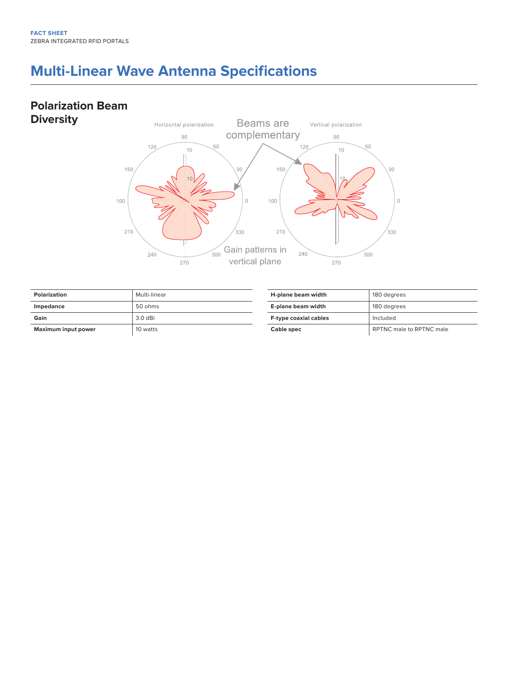### **Multi-Linear Wave Antenna Specifications**

### **Polarization Beam Diversity**



| Polarization               | Multi-linear |
|----------------------------|--------------|
| Impedance                  | 50 ohms      |
| Gain                       | $3.0$ dBi    |
| <b>Maximum input power</b> | 10 watts     |

| H-plane beam width           | 180 degrees              |
|------------------------------|--------------------------|
| E-plane beam width           | 180 degrees              |
| <b>F-type coaxial cables</b> | Included                 |
| Cable spec                   | RPTNC male to RPTNC male |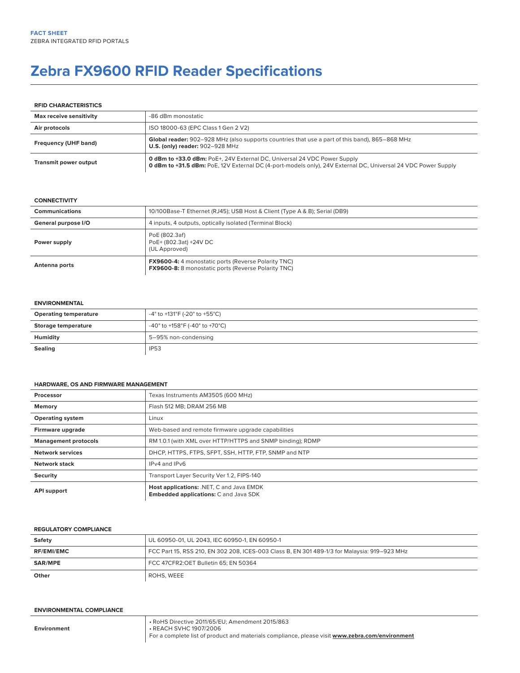## **Zebra FX9600 RFID Reader Specifications**

#### **RFID CHARACTERISTICS**

| Max receive sensitivity | -86 dBm monostatic                                                                                                                                                                               |
|-------------------------|--------------------------------------------------------------------------------------------------------------------------------------------------------------------------------------------------|
| Air protocols           | ISO 18000-63 (EPC Class 1 Gen 2 V2)                                                                                                                                                              |
| Frequency (UHF band)    | Global reader: 902-928 MHz (also supports countries that use a part of this band), 865-868 MHz<br><b>U.S. (only) reader: 902-928 MHz</b>                                                         |
| Transmit power output   | <b>0 dBm to +33.0 dBm:</b> PoE+, 24V External DC, Universal 24 VDC Power Supply<br>0 dBm to +31.5 dBm: PoE, 12V External DC (4-port-models only), 24V External DC, Universal 24 VDC Power Supply |

#### **CONNECTIVITY**

| <b>Communications</b> | 10/100Base-T Ethernet (RJ45); USB Host & Client (Type A & B); Serial (DB9)                                               |
|-----------------------|--------------------------------------------------------------------------------------------------------------------------|
| General purpose I/O   | 4 inputs, 4 outputs, optically isolated (Terminal Block)                                                                 |
| Power supply          | PoE (802.3af)<br>PoE+ (802.3at) +24V DC<br>(UL Approved)                                                                 |
| Antenna ports         | <b>FX9600-4:</b> 4 monostatic ports (Reverse Polarity TNC)<br><b>FX9600-8:</b> 8 monostatic ports (Reverse Polarity TNC) |

#### **ENVIRONMENTAL**

| <b>Operating temperature</b> | -4° to +131°F (-20° to +55°C)  |
|------------------------------|--------------------------------|
| <b>Storage temperature</b>   | -40° to +158°F (-40° to +70°C) |
| Humidity                     | 5-95% non-condensing           |
| <b>Sealing</b>               | <b>IP53</b>                    |

#### **HARDWARE, OS AND FIRMWARE MANAGEMENT**

| Processor                   | Texas Instruments AM3505 (600 MHz)                                                       |
|-----------------------------|------------------------------------------------------------------------------------------|
| Memory                      | Flash 512 MB: DRAM 256 MB                                                                |
| <b>Operating system</b>     | Linux                                                                                    |
| Firmware upgrade            | Web-based and remote firmware upgrade capabilities                                       |
| <b>Management protocols</b> | RM 1.0.1 (with XML over HTTP/HTTPS and SNMP binding); RDMP                               |
| <b>Network services</b>     | DHCP, HTTPS, FTPS, SFPT, SSH, HTTP, FTP, SNMP and NTP                                    |
| <b>Network stack</b>        | IPv4 and IPv6                                                                            |
| <b>Security</b>             | Transport Layer Security Ver 1.2, FIPS-140                                               |
| <b>API support</b>          | Host applications: .NET, C and Java EMDK<br><b>Embedded applications: C and Java SDK</b> |

#### **REGULATORY COMPLIANCE**

| Safety            | UL 60950-01, UL 2043, IEC 60950-1, EN 60950-1                                                |
|-------------------|----------------------------------------------------------------------------------------------|
| <b>RF/EMI/EMC</b> | FCC Part 15, RSS 210, EN 302 208, ICES-003 Class B, EN 301 489-1/3 for Malaysia: 919-923 MHz |
| SAR/MPE           | FCC 47CFR2:OET Bulletin 65: EN 50364                                                         |
| Other             | ROHS. WEEE                                                                                   |

#### **ENVIRONMENTAL COMPLIANCE**

**Environment**

• RoHS Directive 2011/65/EU; Amendment 2015/863 • REACH SVHC 1907/2006 For a complete list of product and materials compliance, please visit **[www.zebra.com/environment](http://www.zebra.com/environment)**